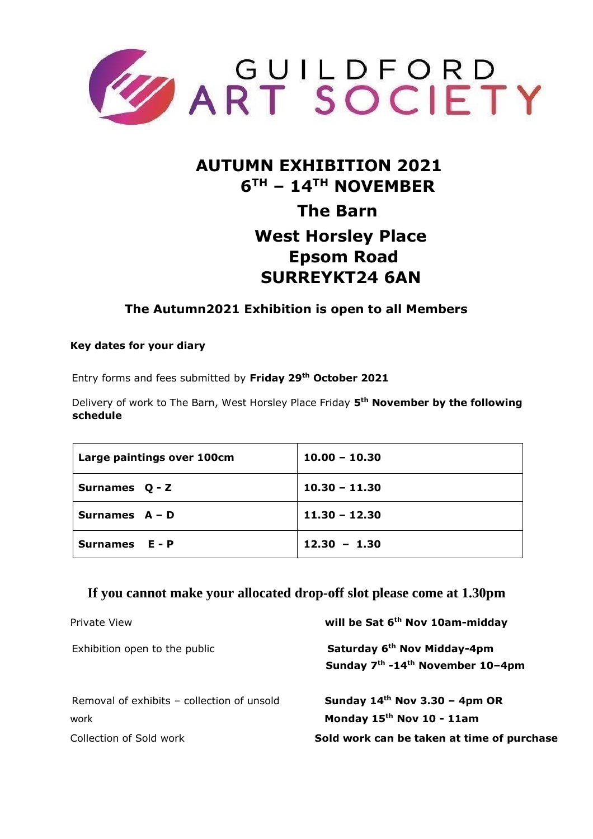

# **AUTUMN EXHIBITION 2021 6 TH – 14TH NOVEMBER The Barn West Horsley Place Epsom Road SURREYKT24 6AN**

### **The Autumn2021 Exhibition is open to all Members**

#### **Key dates for your diary**

Entry forms and fees submitted by **Friday 29th October 2021**

Delivery of work to The Barn, West Horsley Place Friday **5 th November by the following schedule** 

| Large paintings over 100cm | $10.00 - 10.30$ |
|----------------------------|-----------------|
| Surnames Q - Z             | $10.30 - 11.30$ |
| Surnames $A - D$           | $11.30 - 12.30$ |
| Surnames E - P             | $12.30 - 1.30$  |

#### **If you cannot make your allocated drop-off slot please come at 1.30pm**

| Private View                               | will be Sat 6 <sup>th</sup> Nov 10am-midday                                                         |
|--------------------------------------------|-----------------------------------------------------------------------------------------------------|
| Exhibition open to the public              | Saturday 6 <sup>th</sup> Nov Midday-4pm<br>Sunday 7 <sup>th</sup> -14 <sup>th</sup> November 10-4pm |
| Removal of exhibits – collection of unsold | Sunday $14th$ Nov 3.30 - 4pm OR                                                                     |
| work                                       | Monday 15 <sup>th</sup> Nov 10 - 11am                                                               |
| Collection of Sold work                    | Sold work can be taken at time of purchase                                                          |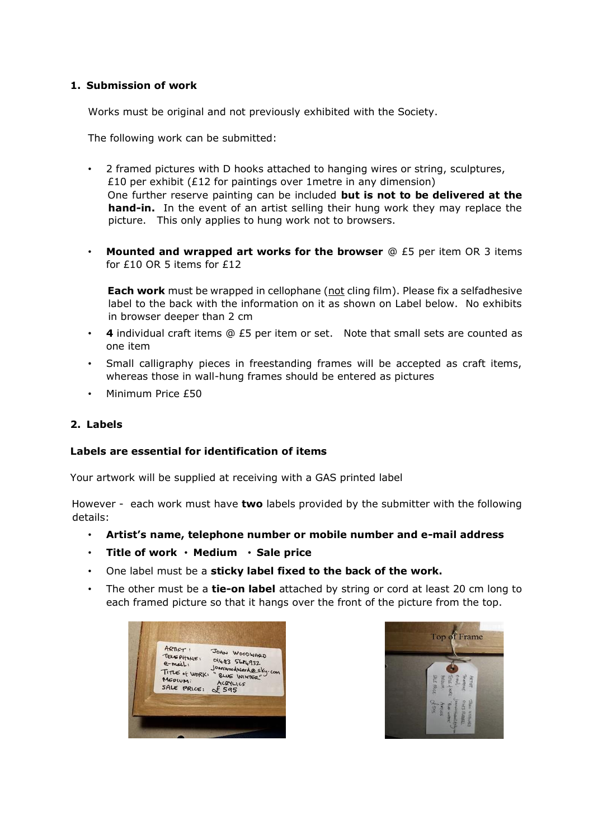#### **1. Submission of work**

Works must be original and not previously exhibited with the Society.

The following work can be submitted:

- 2 framed pictures with D hooks attached to hanging wires or string, sculptures, £10 per exhibit (£12 for paintings over 1metre in any dimension) One further reserve painting can be included **but is not to be delivered at the hand-in.** In the event of an artist selling their hung work they may replace the picture. This only applies to hung work not to browsers.
- **Mounted and wrapped art works for the browser** @ £5 per item OR 3 items for £10 OR 5 items for £12

**Each work** must be wrapped in cellophane (not cling film). Please fix a selfadhesive label to the back with the information on it as shown on Label below. No exhibits in browser deeper than 2 cm

- **4** individual craft items @ £5 per item or set. Note that small sets are counted as one item
- Small calligraphy pieces in freestanding frames will be accepted as craft items, whereas those in wall-hung frames should be entered as pictures
- Minimum Price £50

#### **2. Labels**

#### **Labels are essential for identification of items**

Your artwork will be supplied at receiving with a GAS printed label

However - each work must have **two** labels provided by the submitter with the following details:

- **Artist's name, telephone number or mobile number and e-mail address**
- **Title of work Medium Sale price**
- One label must be a **sticky label fixed to the back of the work.**
- The other must be a **tie-on label** attached by string or cord at least 20 cm long to each framed picture so that it hangs over the front of the picture from the top.

| 014-83 5624932<br>e-mail:<br>Joanwoodwardesky.com<br>TITLE of WORKS<br>" BLUE WINTER"<br>MEDIUM:<br>ACRYLICS<br>SALE PRICE:<br>£ 595 |
|--------------------------------------------------------------------------------------------------------------------------------------|
|--------------------------------------------------------------------------------------------------------------------------------------|

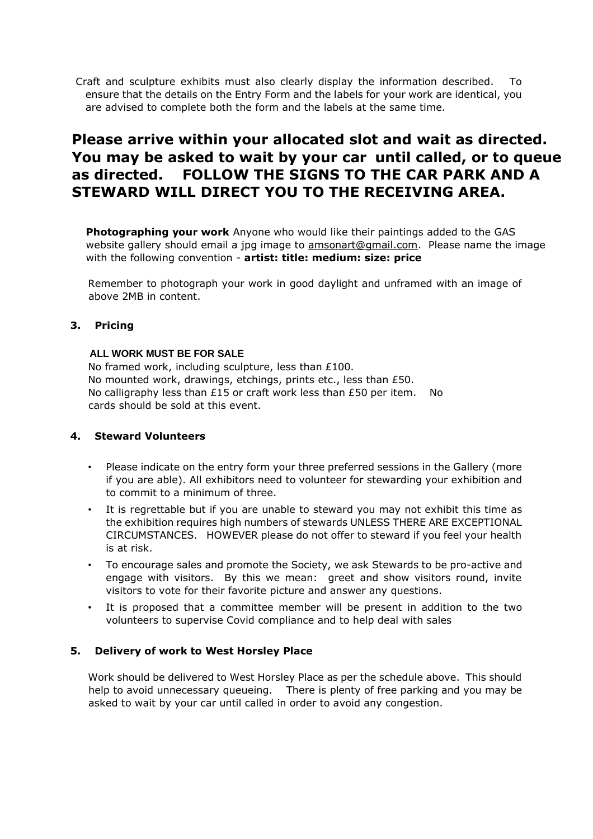Craft and sculpture exhibits must also clearly display the information described. To ensure that the details on the Entry Form and the labels for your work are identical, you are advised to complete both the form and the labels at the same time.

## **Please arrive within your allocated slot and wait as directed. You may be asked to wait by your car until called, or to queue as directed. FOLLOW THE SIGNS TO THE CAR PARK AND A STEWARD WILL DIRECT YOU TO THE RECEIVING AREA.**

**Photographing your work** Anyone who would like their paintings added to the GAS website gallery should email a jpg image to amsonart@gmail.com. Please name the image with the following convention - **artist: title: medium: size: price** 

Remember to photograph your work in good daylight and unframed with an image of above 2MB in content.

#### **3. Pricing**

#### **ALL WORK MUST BE FOR SALE**

No framed work, including sculpture, less than £100. No mounted work, drawings, etchings, prints etc., less than £50. No calligraphy less than £15 or craft work less than £50 per item. No cards should be sold at this event.

#### **4. Steward Volunteers**

- Please indicate on the entry form your three preferred sessions in the Gallery (more if you are able). All exhibitors need to volunteer for stewarding your exhibition and to commit to a minimum of three.
- It is regrettable but if you are unable to steward you may not exhibit this time as the exhibition requires high numbers of stewards UNLESS THERE ARE EXCEPTIONAL CIRCUMSTANCES. HOWEVER please do not offer to steward if you feel your health is at risk.
- To encourage sales and promote the Society, we ask Stewards to be pro-active and engage with visitors. By this we mean: greet and show visitors round, invite visitors to vote for their favorite picture and answer any questions.
- It is proposed that a committee member will be present in addition to the two volunteers to supervise Covid compliance and to help deal with sales

#### **5. Delivery of work to West Horsley Place**

Work should be delivered to West Horsley Place as per the schedule above. This should help to avoid unnecessary queueing. There is plenty of free parking and you may be asked to wait by your car until called in order to avoid any congestion.